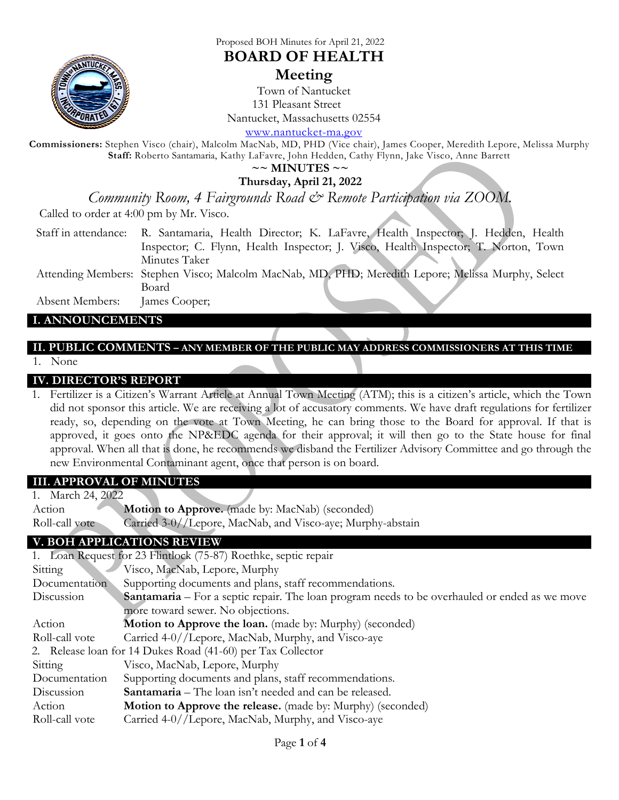

### Proposed BOH Minutes for April 21, 2022

## **BOARD OF HEALTH**

## **Meeting**

Town of Nantucket 131 Pleasant Street Nantucket, Massachusetts 02554

[www.nantucket-ma.gov](http://www.nantucket-ma.gov/)

**Commissioners:** Stephen Visco (chair), Malcolm MacNab, MD, PHD (Vice chair), James Cooper, Meredith Lepore, Melissa Murphy **Staff:** Roberto Santamaria, Kathy LaFavre, John Hedden, Cathy Flynn, Jake Visco, Anne Barrett

**~~ MINUTES ~~**

**Thursday, April 21, 2022** 

*Community Room, 4 Fairgrounds Road & Remote Participation via ZOOM.*

Called to order at 4:00 pm by Mr. Visco.

- Staff in attendance: R. Santamaria, Health Director; K. LaFavre, Health Inspector; J. Hedden, Health Inspector; C. Flynn, Health Inspector; J. Visco, Health Inspector; T. Norton, Town Minutes Taker
- Attending Members: Stephen Visco; Malcolm MacNab, MD, PHD; Meredith Lepore; Melissa Murphy, Select Board

Absent Members: James Cooper;

### **I. ANNOUNCEMENTS**

# **II. PUBLIC COMMENTS – ANY MEMBER OF THE PUBLIC MAY ADDRESS COMMISSIONERS AT THIS TIME**

1. None

#### **IV. DIRECTOR'S REPORT**

1. Fertilizer is a Citizen's Warrant Article at Annual Town Meeting (ATM); this is a citizen's article, which the Town did not sponsor this article. We are receiving a lot of accusatory comments. We have draft regulations for fertilizer ready, so, depending on the vote at Town Meeting, he can bring those to the Board for approval. If that is approved, it goes onto the NP&EDC agenda for their approval; it will then go to the State house for final approval. When all that is done, he recommends we disband the Fertilizer Advisory Committee and go through the new Environmental Contaminant agent, once that person is on board.

#### **III. APPROVAL OF MINUTES**

1. March 24, 2022 Action **Motion to Approve.** (made by: MacNab) (seconded) Roll-call vote Carried 3-0//Lepore, MacNab, and Visco-aye; Murphy-abstain

## **V. BOH APPLICATIONS REVIEW**

|                                                             | 1. Loan Request for 23 Flintlock (75-87) Roethke, septic repair                                      |
|-------------------------------------------------------------|------------------------------------------------------------------------------------------------------|
| Sitting                                                     | Visco, MacNab, Lepore, Murphy                                                                        |
| Documentation                                               | Supporting documents and plans, staff recommendations.                                               |
| Discussion                                                  | <b>Santamaria</b> – For a septic repair. The loan program needs to be overhauled or ended as we move |
|                                                             | more toward sewer. No objections.                                                                    |
| Action                                                      | <b>Motion to Approve the loan.</b> (made by: Murphy) (seconded)                                      |
| Roll-call vote                                              | Carried 4-0//Lepore, MacNab, Murphy, and Visco-aye                                                   |
| 2. Release loan for 14 Dukes Road (41-60) per Tax Collector |                                                                                                      |
| Sitting                                                     | Visco, MacNab, Lepore, Murphy                                                                        |
| Documentation                                               | Supporting documents and plans, staff recommendations.                                               |
| Discussion                                                  | <b>Santamaria</b> – The loan isn't needed and can be released.                                       |
| Action                                                      | Motion to Approve the release. (made by: Murphy) (seconded)                                          |
| Roll-call vote                                              | Carried 4-0//Lepore, MacNab, Murphy, and Visco-aye                                                   |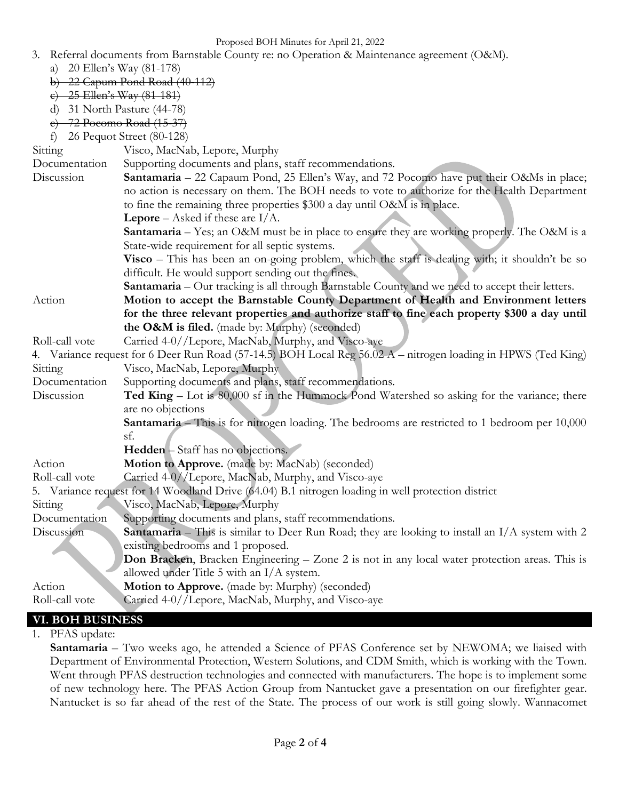Proposed BOH Minutes for April 21, 2022

- 3. Referral documents from Barnstable County re: no Operation & Maintenance agreement (O&M).
	- a) 20 Ellen's Way (81-178)
	- b) 22 Capum Pond Road (40-112)
	- c) 25 Ellen's Way (81-181)
	- d) 31 North Pasture (44-78)
	- e) 72 Pocomo Road (15-37)
	- f) 26 Pequot Street (80-128)

Sitting Visco, MacNab, Lepore, Murphy

- Documentation Supporting documents and plans, staff recommendations.
- Discussion **Santamaria** 22 Capaum Pond, 25 Ellen's Way, and 72 Pocomo have put their O&Ms in place; no action is necessary on them. The BOH needs to vote to authorize for the Health Department to fine the remaining three properties \$300 a day until O&M is in place.
	- **Lepore** Asked if these are I/A.
		- **Santamaria** Yes; an O&M must be in place to ensure they are working properly. The O&M is a State-wide requirement for all septic systems.
		- **Visco** This has been an on-going problem, which the staff is dealing with; it shouldn't be so difficult. He would support sending out the fines.
	- **Santamaria** Our tracking is all through Barnstable County and we need to accept their letters.
- Action **Motion to accept the Barnstable County Department of Health and Environment letters for the three relevant properties and authorize staff to fine each property \$300 a day until the O&M is filed.** (made by: Murphy) (seconded)
- Roll-call vote Carried 4-0//Lepore, MacNab, Murphy, and Visco-aye
- 4. Variance request for 6 Deer Run Road (57-14.5) BOH Local Reg 56.02 A nitrogen loading in HPWS (Ted King) Sitting Visco, MacNab, Lepore, Murphy
- Documentation Supporting documents and plans, staff recommendations.
- Discussion **Ted King** Lot is 80,000 sf in the Hummock Pond Watershed so asking for the variance; there are no objections
	- **Santamaria** This is for nitrogen loading. The bedrooms are restricted to 1 bedroom per 10,000 sf.
	- **Hedden** Staff has no objections.
- Action **Motion to Approve.** (made by: MacNab) (seconded)
- Roll-call vote Carried 4-0//Lepore, MacNab, Murphy, and Visco-aye
- 5. Variance request for 14 Woodland Drive (64.04) B.1 nitrogen loading in well protection district
- Sitting Visco, MacNab, Lepore, Murphy
- Documentation Supporting documents and plans, staff recommendations.
- Discussion **Santamaria** This is similar to Deer Run Road; they are looking to install an I/A system with 2 existing bedrooms and 1 proposed.
	- **Don Bracken**, Bracken Engineering Zone 2 is not in any local water protection areas. This is allowed under Title 5 with an I/A system.
- Action **Motion to Approve.** (made by: Murphy) (seconded)
- Roll-call vote Carried 4-0//Lepore, MacNab, Murphy, and Visco-aye

# **VI. BOH BUSINESS**

1. PFAS update:

**Santamaria** – Two weeks ago, he attended a Science of PFAS Conference set by NEWOMA; we liaised with Department of Environmental Protection, Western Solutions, and CDM Smith, which is working with the Town. Went through PFAS destruction technologies and connected with manufacturers. The hope is to implement some of new technology here. The PFAS Action Group from Nantucket gave a presentation on our firefighter gear. Nantucket is so far ahead of the rest of the State. The process of our work is still going slowly. Wannacomet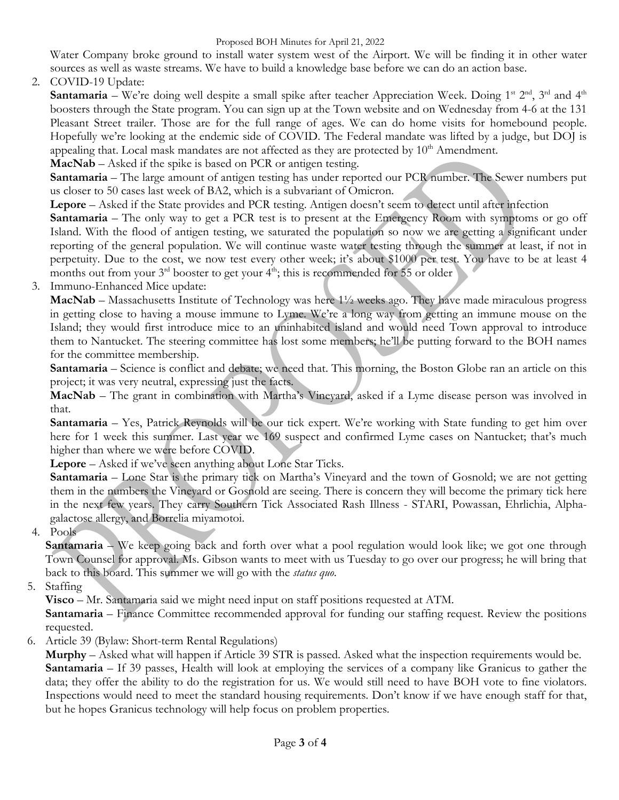Water Company broke ground to install water system west of the Airport. We will be finding it in other water sources as well as waste streams. We have to build a knowledge base before we can do an action base.

2. COVID-19 Update:

**Santamaria** – We're doing well despite a small spike after teacher Appreciation Week. Doing 1<sup>st 2nd</sup>, 3<sup>rd</sup> and 4<sup>th</sup> boosters through the State program. You can sign up at the Town website and on Wednesday from 4-6 at the 131 Pleasant Street trailer. Those are for the full range of ages. We can do home visits for homebound people. Hopefully we're looking at the endemic side of COVID. The Federal mandate was lifted by a judge, but DOJ is appealing that. Local mask mandates are not affected as they are protected by  $10<sup>th</sup>$  Amendment.

**MacNab** – Asked if the spike is based on PCR or antigen testing.

**Santamaria** – The large amount of antigen testing has under reported our PCR number. The Sewer numbers put us closer to 50 cases last week of BA2, which is a subvariant of Omicron.

**Lepore** – Asked if the State provides and PCR testing. Antigen doesn't seem to detect until after infection

**Santamaria** – The only way to get a PCR test is to present at the Emergency Room with symptoms or go off Island. With the flood of antigen testing, we saturated the population so now we are getting a significant under reporting of the general population. We will continue waste water testing through the summer at least, if not in perpetuity. Due to the cost, we now test every other week; it's about \$1000 per test. You have to be at least 4 months out from your  $3<sup>rd</sup>$  booster to get your  $4<sup>th</sup>$ ; this is recommended for 55 or older

3. Immuno-Enhanced Mice update:

**MacNab** – Massachusetts Institute of Technology was here 1½ weeks ago. They have made miraculous progress in getting close to having a mouse immune to Lyme. We're a long way from getting an immune mouse on the Island; they would first introduce mice to an uninhabited island and would need Town approval to introduce them to Nantucket. The steering committee has lost some members; he'll be putting forward to the BOH names for the committee membership.

**Santamaria** – Science is conflict and debate; we need that. This morning, the Boston Globe ran an article on this project; it was very neutral, expressing just the facts.

**MacNab** – The grant in combination with Martha's Vineyard, asked if a Lyme disease person was involved in that.

**Santamaria** – Yes, Patrick Reynolds will be our tick expert. We're working with State funding to get him over here for 1 week this summer. Last year we 169 suspect and confirmed Lyme cases on Nantucket; that's much higher than where we were before COVID.

**Lepore** – Asked if we've seen anything about Lone Star Ticks.

**Santamaria** – Lone Star is the primary tick on Martha's Vineyard and the town of Gosnold; we are not getting them in the numbers the Vineyard or Gosnold are seeing. There is concern they will become the primary tick here in the next few years. They carry Southern Tick Associated Rash Illness - STARI, Powassan, Ehrlichia, Alphagalactose allergy, and Borrelia miyamotoi.

4. Pools

**Santamaria** – We keep going back and forth over what a pool regulation would look like; we got one through Town Counsel for approval. Ms. Gibson wants to meet with us Tuesday to go over our progress; he will bring that back to this board. This summer we will go with the *status quo*.

5. Staffing

**Visco** – Mr. Santamaria said we might need input on staff positions requested at ATM.

**Santamaria** – Finance Committee recommended approval for funding our staffing request. Review the positions requested.

6. Article 39 (Bylaw: Short-term Rental Regulations)

**Murphy** – Asked what will happen if Article 39 STR is passed. Asked what the inspection requirements would be. **Santamaria** – If 39 passes, Health will look at employing the services of a company like Granicus to gather the data; they offer the ability to do the registration for us. We would still need to have BOH vote to fine violators. Inspections would need to meet the standard housing requirements. Don't know if we have enough staff for that, but he hopes Granicus technology will help focus on problem properties.